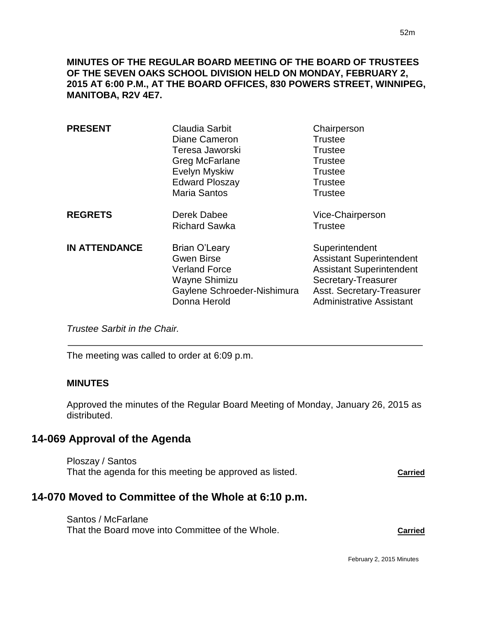**MINUTES OF THE REGULAR BOARD MEETING OF THE BOARD OF TRUSTEES OF THE SEVEN OAKS SCHOOL DIVISION HELD ON MONDAY, FEBRUARY 2, 2015 AT 6:00 P.M., AT THE BOARD OFFICES, 830 POWERS STREET, WINNIPEG, MANITOBA, R2V 4E7.**

| <b>PRESENT</b>       | Claudia Sarbit<br>Diane Cameron<br>Teresa Jaworski<br>Greg McFarlane<br><b>Evelyn Myskiw</b><br><b>Edward Ploszay</b><br><b>Maria Santos</b> | Chairperson<br><b>Trustee</b><br><b>Trustee</b><br><b>Trustee</b><br><b>Trustee</b><br><b>Trustee</b><br><b>Trustee</b>                                                     |
|----------------------|----------------------------------------------------------------------------------------------------------------------------------------------|-----------------------------------------------------------------------------------------------------------------------------------------------------------------------------|
| <b>REGRETS</b>       | Derek Dabee<br><b>Richard Sawka</b>                                                                                                          | Vice-Chairperson<br><b>Trustee</b>                                                                                                                                          |
| <b>IN ATTENDANCE</b> | Brian O'Leary<br><b>Gwen Birse</b><br><b>Verland Force</b><br>Wayne Shimizu<br>Gaylene Schroeder-Nishimura<br>Donna Herold                   | Superintendent<br><b>Assistant Superintendent</b><br><b>Assistant Superintendent</b><br>Secretary-Treasurer<br>Asst. Secretary-Treasurer<br><b>Administrative Assistant</b> |

*Trustee Sarbit in the Chair.* 

The meeting was called to order at 6:09 p.m.

#### **MINUTES**

 $\overline{a}$ 

Approved the minutes of the Regular Board Meeting of Monday, January 26, 2015 as distributed.

### **14-069 Approval of the Agenda**

Ploszay / Santos That the agenda for this meeting be approved as listed. **Carried**

# **14-070 Moved to Committee of the Whole at 6:10 p.m.**

Santos / McFarlane That the Board move into Committee of the Whole. **Carried**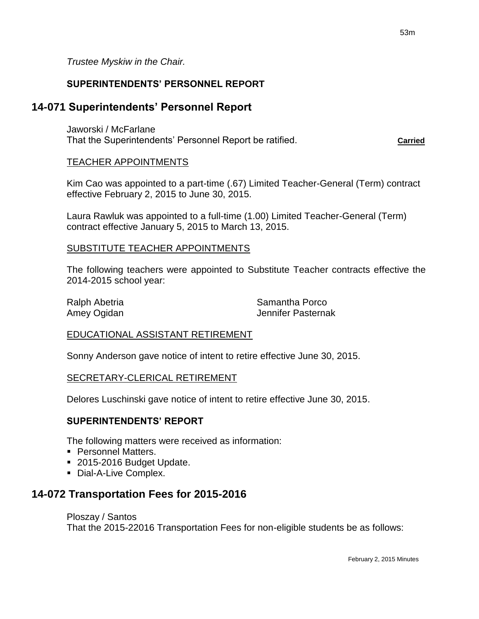*Trustee Myskiw in the Chair.*

### **SUPERINTENDENTS' PERSONNEL REPORT**

## **14-071 Superintendents' Personnel Report**

Jaworski / McFarlane That the Superintendents' Personnel Report be ratified. **Carried**

#### TEACHER APPOINTMENTS

Kim Cao was appointed to a part-time (.67) Limited Teacher-General (Term) contract effective February 2, 2015 to June 30, 2015.

Laura Rawluk was appointed to a full-time (1.00) Limited Teacher-General (Term) contract effective January 5, 2015 to March 13, 2015.

#### SUBSTITUTE TEACHER APPOINTMENTS

The following teachers were appointed to Substitute Teacher contracts effective the 2014-2015 school year:

Ralph Abetria **National Abetria** Samantha Porco Amey Ogidan **Jennifer Pasternak** 

### EDUCATIONAL ASSISTANT RETIREMENT

Sonny Anderson gave notice of intent to retire effective June 30, 2015.

#### SECRETARY-CLERICAL RETIREMENT

Delores Luschinski gave notice of intent to retire effective June 30, 2015.

### **SUPERINTENDENTS' REPORT**

The following matters were received as information:

- **Personnel Matters.**
- 2015-2016 Budget Update.
- Dial-A-Live Complex.

# **14-072 Transportation Fees for 2015-2016**

#### Ploszay / Santos

That the 2015-22016 Transportation Fees for non-eligible students be as follows: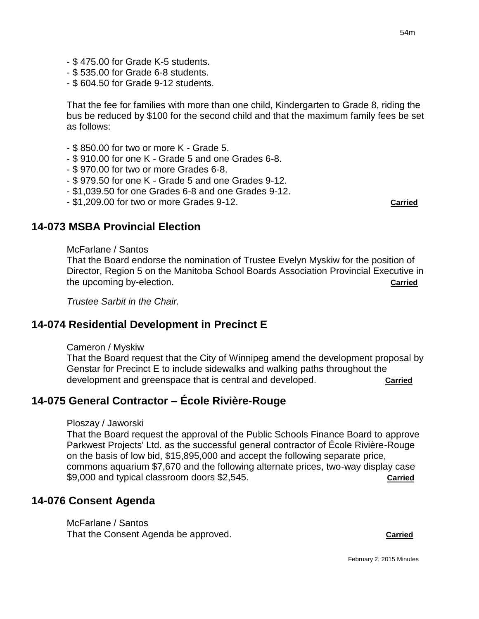- \$ 475.00 for Grade K-5 students.
- \$ 535.00 for Grade 6-8 students.
- \$ 604.50 for Grade 9-12 students.

That the fee for families with more than one child, Kindergarten to Grade 8, riding the bus be reduced by \$100 for the second child and that the maximum family fees be set as follows:

- \$ 850.00 for two or more K Grade 5.
- \$ 910.00 for one K Grade 5 and one Grades 6-8.
- \$ 970.00 for two or more Grades 6-8.
- \$ 979.50 for one K Grade 5 and one Grades 9-12.
- \$1,039.50 for one Grades 6-8 and one Grades 9-12.
- \$1,209.00 for two or more Grades 9-12. **Carried**

# **14-073 MSBA Provincial Election**

#### McFarlane / Santos

That the Board endorse the nomination of Trustee Evelyn Myskiw for the position of Director, Region 5 on the Manitoba School Boards Association Provincial Executive in the upcoming by-election. **Carried**

*Trustee Sarbit in the Chair.*

# **14-074 Residential Development in Precinct E**

#### Cameron / Myskiw

That the Board request that the City of Winnipeg amend the development proposal by Genstar for Precinct E to include sidewalks and walking paths throughout the development and greenspace that is central and developed. **Carried**

# **14-075 General Contractor – École Rivière-Rouge**

#### Ploszay / Jaworski

That the Board request the approval of the Public Schools Finance Board to approve Parkwest Projects' Ltd. as the successful general contractor of École Rivière-Rouge on the basis of low bid, \$15,895,000 and accept the following separate price, commons aquarium \$7,670 and the following alternate prices, two-way display case \$9,000 and typical classroom doors \$2,545. **Carried**

### **14-076 Consent Agenda**

McFarlane / Santos That the Consent Agenda be approved. **Carried**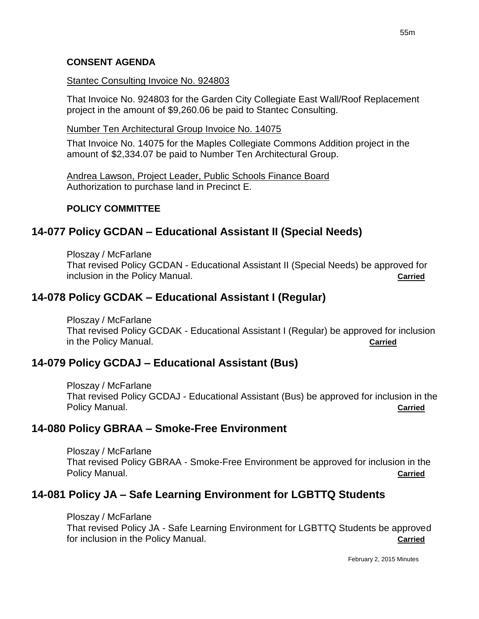#### **CONSENT AGENDA**

#### Stantec Consulting Invoice No. 924803

That Invoice No. 924803 for the Garden City Collegiate East Wall/Roof Replacement project in the amount of \$9,260.06 be paid to Stantec Consulting.

Number Ten Architectural Group Invoice No. 14075

That Invoice No. 14075 for the Maples Collegiate Commons Addition project in the amount of \$2,334.07 be paid to Number Ten Architectural Group.

Andrea Lawson, Project Leader, Public Schools Finance Board Authorization to purchase land in Precinct E.

### **POLICY COMMITTEE**

## **14-077 Policy GCDAN – Educational Assistant II (Special Needs)**

Ploszay / McFarlane That revised Policy GCDAN - Educational Assistant II (Special Needs) be approved for inclusion in the Policy Manual. **Carried**

## **14-078 Policy GCDAK – Educational Assistant I (Regular)**

Ploszay / McFarlane

That revised Policy GCDAK - Educational Assistant I (Regular) be approved for inclusion in the Policy Manual. **Carried**

# **14-079 Policy GCDAJ – Educational Assistant (Bus)**

Ploszay / McFarlane That revised Policy GCDAJ - Educational Assistant (Bus) be approved for inclusion in the Policy Manual. **Carried**

# **14-080 Policy GBRAA – Smoke-Free Environment**

Ploszay / McFarlane That revised Policy GBRAA - Smoke-Free Environment be approved for inclusion in the Policy Manual. **Carried**

# **14-081 Policy JA – Safe Learning Environment for LGBTTQ Students**

#### Ploszay / McFarlane

That revised Policy JA - Safe Learning Environment for LGBTTQ Students be approved for inclusion in the Policy Manual. **Carried**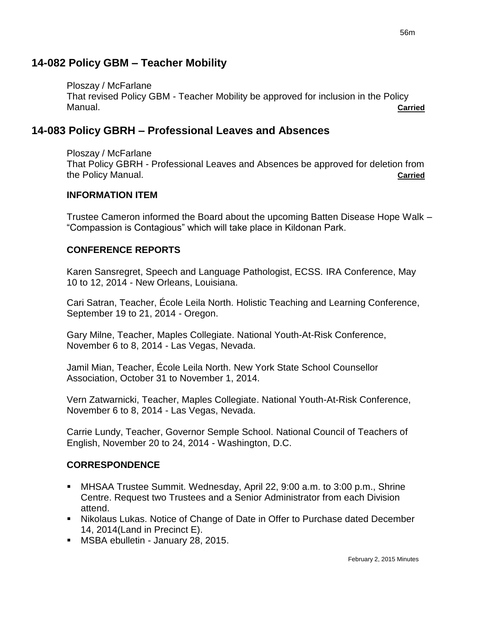Ploszay / McFarlane That revised Policy GBM - Teacher Mobility be approved for inclusion in the Policy Manual. **Carried**

# **14-083 Policy GBRH – Professional Leaves and Absences**

Ploszay / McFarlane That Policy GBRH - Professional Leaves and Absences be approved for deletion from the Policy Manual. **Carried**

### **INFORMATION ITEM**

Trustee Cameron informed the Board about the upcoming Batten Disease Hope Walk – "Compassion is Contagious" which will take place in Kildonan Park.

## **CONFERENCE REPORTS**

Karen Sansregret, Speech and Language Pathologist, ECSS. IRA Conference, May 10 to 12, 2014 - New Orleans, Louisiana.

Cari Satran, Teacher, École Leila North. Holistic Teaching and Learning Conference, September 19 to 21, 2014 - Oregon.

Gary Milne, Teacher, Maples Collegiate. National Youth-At-Risk Conference, November 6 to 8, 2014 - Las Vegas, Nevada.

Jamil Mian, Teacher, École Leila North. New York State School Counsellor Association, October 31 to November 1, 2014.

Vern Zatwarnicki, Teacher, Maples Collegiate. National Youth-At-Risk Conference, November 6 to 8, 2014 - Las Vegas, Nevada.

Carrie Lundy, Teacher, Governor Semple School. National Council of Teachers of English, November 20 to 24, 2014 - Washington, D.C.

# **CORRESPONDENCE**

- MHSAA Trustee Summit. Wednesday, April 22, 9:00 a.m. to 3:00 p.m., Shrine Centre. Request two Trustees and a Senior Administrator from each Division attend.
- Nikolaus Lukas. Notice of Change of Date in Offer to Purchase dated December 14, 2014(Land in Precinct E).
- **MSBA ebulletin January 28, 2015.**